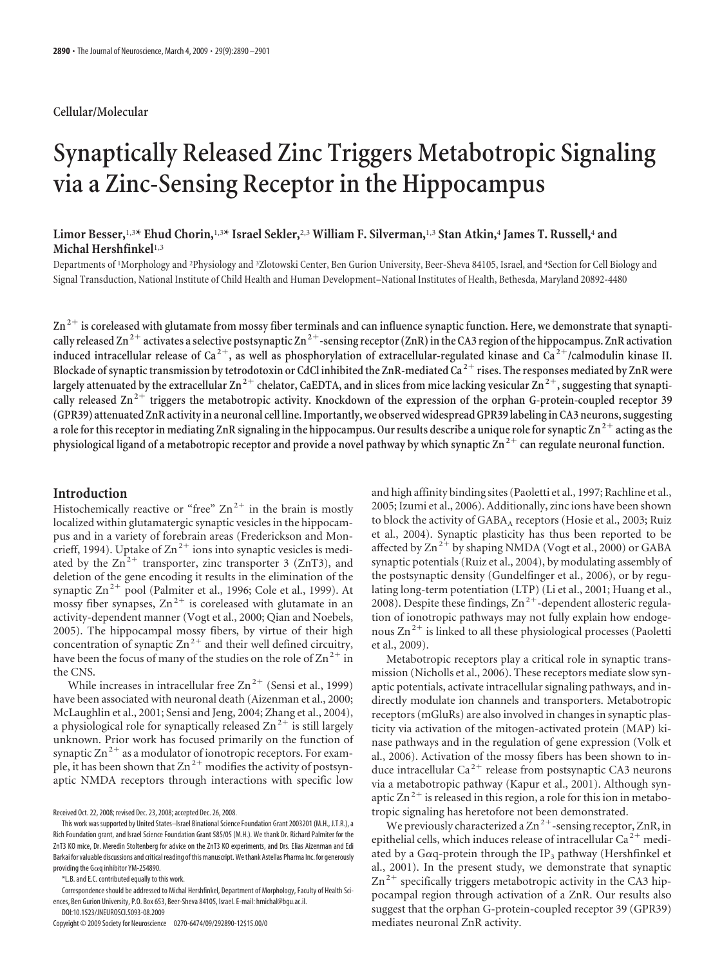#### **Cellular/Molecular**

# **Synaptically Released Zinc Triggers Metabotropic Signaling via a Zinc-Sensing Receptor in the Hippocampus**

## **Limor Besser,**1,3**\* Ehud Chorin,**1,3**\* Israel Sekler,**2,3 **William F. Silverman,**1,3 **Stan Atkin,**<sup>4</sup> **James T. Russell,**<sup>4</sup> **and Michal Hershfinkel**1,3

Departments of 'Morphology and <sup>2</sup>Physiology and <sup>3</sup>Zlotowski Center, Ben Gurion University, Beer-Sheva 84105, Israel, and <sup>4</sup>Section for Cell Biology and Signal Transduction, National Institute of Child Health and Human Development–National Institutes of Health, Bethesda, Maryland 20892-4480

Zn<sup>2+</sup> is coreleased with glutamate from mossy fiber terminals and can influence synaptic function. Here, we demonstrate that synapti**cally released Zn2 activates a selective postsynaptic Zn2-sensing receptor (ZnR) inthe CA3 region ofthe hippocampus. ZnR activation induced intracellular release of Ca <sup>2</sup>, as well as phosphorylation of extracellular-regulated kinase and Ca <sup>2</sup>/calmodulin kinase II. Blockade of synaptic transmission by tetrodotoxin or CdCl inhibited the ZnR-mediated Ca <sup>2</sup> rises. The responses mediated by ZnR were** largely attenuated by the extracellular Zn<sup>2+</sup> chelator, CaEDTA, and in slices from mice lacking vesicular  $\text{Zn}^{2+}$ , suggesting that synapti**cally released Zn2 triggers the metabotropic activity. Knockdown of the expression of the orphan G-protein-coupled receptor 39 (GPR39) attenuated ZnR activity in a neuronal cell line. Importantly, we observed widespread GPR39 labeling in CA3 neurons, suggesting a role for this receptor in mediating ZnR signaling in the hippocampus. Our results describe a unique role for synaptic Zn2 acting as the physiological ligand of a metabotropic receptor and provide a novel pathway by which synaptic Zn2 can regulate neuronal function.**

#### **Introduction**

Histochemically reactive or "free"  $Zn^{2+}$  in the brain is mostly localized within glutamatergic synaptic vesicles in the hippocampus and in a variety of forebrain areas (Frederickson and Moncrieff, 1994). Uptake of  $Zn^{2+}$  ions into synaptic vesicles is mediated by the  $\text{Zn}^{2+}$  transporter, zinc transporter 3 (ZnT3), and deletion of the gene encoding it results in the elimination of the synaptic  $\text{Zn}^{2+}$  pool (Palmiter et al., 1996; Cole et al., 1999). At mossy fiber synapses,  $\text{Zn}^{2+}$  is coreleased with glutamate in an activity-dependent manner (Vogt et al., 2000; Qian and Noebels, 2005). The hippocampal mossy fibers, by virtue of their high concentration of synaptic  $\text{Zn}^{2+}$  and their well defined circuitry, have been the focus of many of the studies on the role of  $\text{Zn}^{2+}$  in the CNS.

While increases in intracellular free  $\text{Zn}^{2+}$  (Sensi et al., 1999) have been associated with neuronal death (Aizenman et al., 2000; McLaughlin et al., 2001; Sensi and Jeng, 2004; Zhang et al., 2004), a physiological role for synaptically released  $\text{Zn}^{2+}$  is still largely unknown. Prior work has focused primarily on the function of synaptic  $\text{Zn}^2$ <sup>+</sup> as a modulator of ionotropic receptors. For example, it has been shown that  $Zn^{2+}$  modifies the activity of postsynaptic NMDA receptors through interactions with specific low

Received Oct. 22, 2008; revised Dec. 23, 2008; accepted Dec. 26, 2008.

Correspondence should be addressed to Michal Hershfinkel, Department of Morphology, Faculty of Health Sciences, Ben Gurion University, P.O. Box 653, Beer-Sheva 84105, Israel. E-mail: hmichal@bgu.ac.il. DOI:10.1523/JNEUROSCI.5093-08.2009

Copyright © 2009 Society for Neuroscience 0270-6474/09/292890-12\$15.00/0

and high affinity binding sites (Paoletti et al., 1997; Rachline et al., 2005; Izumi et al., 2006). Additionally, zinc ions have been shown to block the activity of GABA<sub>A</sub> receptors (Hosie et al., 2003; Ruiz et al., 2004). Synaptic plasticity has thus been reported to be affected by  $\text{Zn}^2$ <sup>+</sup> by shaping NMDA (Vogt et al., 2000) or GABA synaptic potentials (Ruiz et al., 2004), by modulating assembly of the postsynaptic density (Gundelfinger et al., 2006), or by regulating long-term potentiation (LTP) (Li et al., 2001; Huang et al., 2008). Despite these findings,  $Zn^{2+}$ -dependent allosteric regulation of ionotropic pathways may not fully explain how endogenous  $\text{Zn}^{2+}$  is linked to all these physiological processes (Paoletti et al., 2009).

Metabotropic receptors play a critical role in synaptic transmission (Nicholls et al., 2006). These receptors mediate slow synaptic potentials, activate intracellular signaling pathways, and indirectly modulate ion channels and transporters. Metabotropic receptors (mGluRs) are also involved in changes in synaptic plasticity via activation of the mitogen-activated protein (MAP) kinase pathways and in the regulation of gene expression (Volk et al., 2006). Activation of the mossy fibers has been shown to induce intracellular  $Ca^{2+}$  release from postsynaptic CA3 neurons via a metabotropic pathway (Kapur et al., 2001). Although synaptic  $\text{Zn}^{2+}$  is released in this region, a role for this ion in metabotropic signaling has heretofore not been demonstrated.

We previously characterized a  $\text{Zn}^{2+}$ -sensing receptor, ZnR, in epithelial cells, which induces release of intracellular  $Ca^{2+}$  mediated by a G $\alpha$ q-protein through the IP<sub>3</sub> pathway (Hershfinkel et al., 2001). In the present study, we demonstrate that synaptic  $\text{Zn}^{2+}$  specifically triggers metabotropic activity in the CA3 hippocampal region through activation of a ZnR. Our results also suggest that the orphan G-protein-coupled receptor 39 (GPR39) mediates neuronal ZnR activity.

This work was supported by United States–Israel Binational Science Foundation Grant 2003201 (M.H., J.T.R.), a Rich Foundation grant, and Israel Science Foundation Grant 585/05 (M.H.). We thank Dr. Richard Palmiter for the ZnT3 KO mice, Dr. Meredin Stoltenberg for advice on the ZnT3 KO experiments, and Drs. Elias Aizenman and Edi Barkai for valuable discussions and critical reading of this manuscript. We thank Astellas Pharma Inc. for generously providing the G $\alpha$ g inhibitor YM-254890.

<sup>\*</sup>L.B. and E.C. contributed equally to this work.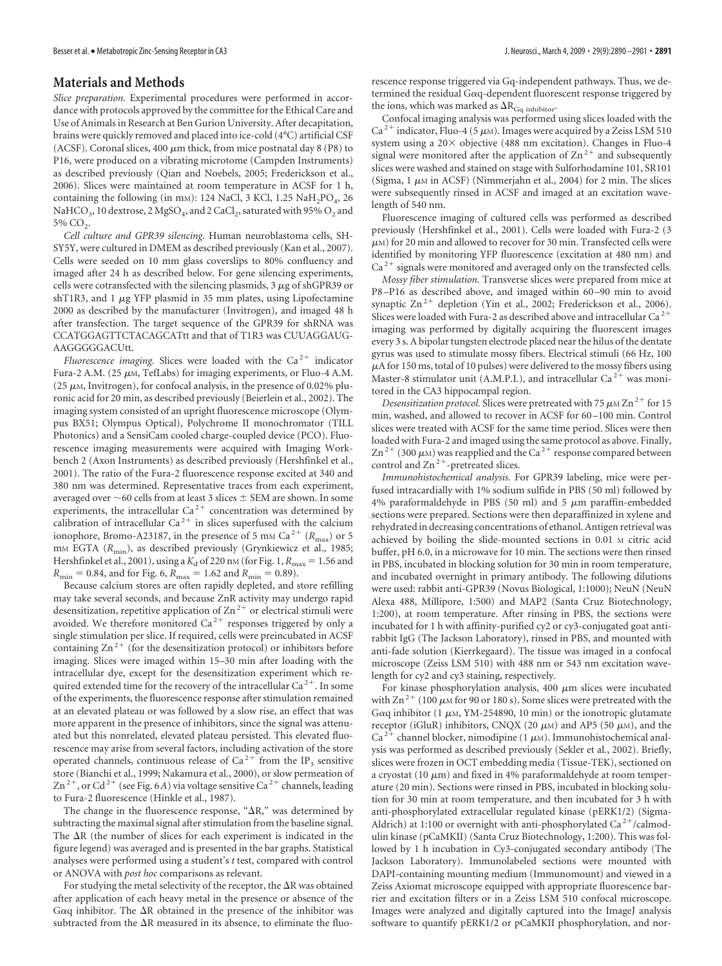#### **Materials and Methods**

*Slice preparation.* Experimental procedures were performed in accordance with protocols approved by the committee for the Ethical Care and Use of Animals in Research at Ben Gurion University. After decapitation, brains were quickly removed and placed into ice-cold (4°C) artificial CSF (ACSF). Coronal slices, 400  $\mu$ m thick, from mice postnatal day 8 (P8) to P16, were produced on a vibrating microtome (Campden Instruments) as described previously (Qian and Noebels, 2005; Frederickson et al., 2006). Slices were maintained at room temperature in ACSF for 1 h, containing the following (in mm): 124 NaCl, 3 KCl, 1.25  $NaH_2PO_4$ , 26 NaHCO<sub>3</sub>, 10 dextrose, 2 MgSO<sub>4</sub>, and 2 CaCl<sub>2</sub>, saturated with 95% O<sub>2</sub> and  $5\%$  CO<sub>2</sub>.

*Cell culture and GPR39 silencing.* Human neuroblastoma cells, SH-SY5Y, were cultured in DMEM as described previously (Kan et al., 2007). Cells were seeded on 10 mm glass coverslips to 80% confluency and imaged after 24 h as described below. For gene silencing experiments, cells were cotransfected with the silencing plasmids,  $3 \mu$ g of shGPR39 or  $shT$ 1R3, and 1  $\mu$ g YFP plasmid in 35 mm plates, using Lipofectamine 2000 as described by the manufacturer (Invitrogen), and imaged 48 h after transfection. The target sequence of the GPR39 for shRNA was CCATGGAGTTCTACAGCATtt and that of T1R3 was CUUAGGAUG-AAGGGGGACUtt.

*Fluorescence imaging.* Slices were loaded with the  $Ca^{2+}$  indicator Fura-2 A.M. (25  $\mu$ m, TefLabs) for imaging experiments, or Fluo-4 A.M. (25  $\mu$ M, Invitrogen), for confocal analysis, in the presence of 0.02% pluronic acid for 20 min, as described previously (Beierlein et al., 2002). The imaging system consisted of an upright fluorescence microscope (Olympus BX51; Olympus Optical), Polychrome II monochromator (TILL Photonics) and a SensiCam cooled charge-coupled device (PCO). Fluorescence imaging measurements were acquired with Imaging Workbench 2 (Axon Instruments) as described previously (Hershfinkel et al., 2001). The ratio of the Fura-2 fluorescence response excited at 340 and 380 nm was determined. Representative traces from each experiment, averaged over  ${\sim}60$  cells from at least 3 slices  ${\pm}$  SEM are shown. In some experiments, the intracellular  $Ca^{2+}$  concentration was determined by calibration of intracellular Ca<sup>2+</sup> in slices superfused with the calcium ionophore, Bromo-A23187, in the presence of 5 mm Ca<sup>2+</sup> ( $R_{\text{max}}$ ) or 5 m<sub>M</sub> EGTA ( $R_{\text{min}}$ ), as described previously (Grynkiewicz et al., 1985; Hershfinkel et al., 2001), using a  $K_d$  of 220 nm (for Fig. 1,  $R_{\text{max}} = 1.56$  and  $R_{\rm min}$  = 0.84, and for Fig. 6,  $R_{\rm max}$  = 1.62 and  $R_{\rm min}$  = 0.89).

Because calcium stores are often rapidly depleted, and store refilling may take several seconds, and because ZnR activity may undergo rapid desensitization, repetitive application of  $Zn^{2+}$  or electrical stimuli were avoided. We therefore monitored  $Ca^{2+}$  responses triggered by only a single stimulation per slice. If required, cells were preincubated in ACSF containing  $\text{Zn}^{2+}$  (for the desensitization protocol) or inhibitors before imaging. Slices were imaged within 15–30 min after loading with the intracellular dye, except for the desensitization experiment which required extended time for the recovery of the intracellular  $Ca^{2+}$ . In some of the experiments, the fluorescence response after stimulation remained at an elevated plateau or was followed by a slow rise, an effect that was more apparent in the presence of inhibitors, since the signal was attenuated but this nonrelated, elevated plateau persisted. This elevated fluorescence may arise from several factors, including activation of the store operated channels, continuous release of  $Ca^{2+}$  from the IP<sub>3</sub> sensitive store (Bianchi et al., 1999; Nakamura et al., 2000), or slow permeation of  $\text{Zn}^{2+}$ , or Cd<sup>2+</sup> (see Fig. 6*A*) via voltage sensitive Ca<sup>2+</sup> channels, leading to Fura-2 fluorescence (Hinkle et al., 1987).

The change in the fluorescence response, " $\Delta R$ ," was determined by subtracting the maximal signal after stimulation from the baseline signal. The  $\Delta R$  (the number of slices for each experiment is indicated in the figure legend) was averaged and is presented in the bar graphs. Statistical analyses were performed using a student's *t* test, compared with control or ANOVA with *post hoc* comparisons as relevant.

For studying the metal selectivity of the receptor, the  $\Delta R$  was obtained after application of each heavy metal in the presence or absence of the G $\alpha$ q inhibitor. The  $\Delta$ R obtained in the presence of the inhibitor was subtracted from the  $\Delta R$  measured in its absence, to eliminate the fluorescence response triggered via Gq-independent pathways. Thus, we determined the residual G $\alpha$ q-dependent fluorescent response triggered by the ions, which was marked as  $\Delta R_{\text{Gq}}$  inhibitor

Confocal imaging analysis was performed using slices loaded with the Ca<sup>2+</sup> indicator, Fluo-4 (5  $\mu$ m). Images were acquired by a Zeiss LSM 510 system using a  $20 \times$  objective (488 nm excitation). Changes in Fluo-4 signal were monitored after the application of  $\text{Zn}^{2+}$  and subsequently slices were washed and stained on stage with Sulforhodamine 101, SR101 (Sigma,  $1 \mu$ M in ACSF) (Nimmerjahn et al., 2004) for 2 min. The slices were subsequently rinsed in ACSF and imaged at an excitation wavelength of 540 nm.

Fluorescence imaging of cultured cells was performed as described previously (Hershfinkel et al., 2001). Cells were loaded with Fura-2 (3  $\mu$ м) for 20 min and allowed to recover for 30 min. Transfected cells were identified by monitoring YFP fluorescence (excitation at 480 nm) and  $Ca<sup>2+</sup>$  signals were monitored and averaged only on the transfected cells.

*Mossy fiber stimulation.* Transverse slices were prepared from mice at P8-P16 as described above, and imaged within 60-90 min to avoid synaptic  $Zn^{2+}$  depletion (Yin et al., 2002; Frederickson et al., 2006). Slices were loaded with Fura-2 as described above and intracellular Ca<sup>2-</sup> imaging was performed by digitally acquiring the fluorescent images every 3 s. A bipolar tungsten electrode placed near the hilus of the dentate gyrus was used to stimulate mossy fibers. Electrical stimuli (66 Hz, 100  $\mu$ A for 150 ms, total of 10 pulses) were delivered to the mossy fibers using Master-8 stimulator unit (A.M.P.I.), and intracellular Ca<sup>2+</sup> was monitored in the CA3 hippocampal region.

Desensitization protocol. Slices were pretreated with 75  $\mu$ M Zn<sup>2+</sup> for 15 min, washed, and allowed to recover in ACSF for 60 –100 min. Control slices were treated with ACSF for the same time period. Slices were then loaded with Fura-2 and imaged using the same protocol as above. Finally,  $\text{Zn}^{2+}$  (300  $\mu$ M) was reapplied and the Ca<sup>2+</sup> response compared between control and  $\text{Zn}^{2+}$ -pretreated slices.

*Immunohistochemical analysis.* For GPR39 labeling, mice were perfused intracardially with 1% sodium sulfide in PBS (50 ml) followed by 4% paraformaldehyde in PBS (50 ml) and 5  $\mu$ m paraffin-embedded sections were prepared. Sections were then deparaffinized in xylene and rehydrated in decreasing concentrations of ethanol. Antigen retrieval was achieved by boiling the slide-mounted sections in 0.01 M citric acid buffer, pH 6.0, in a microwave for 10 min. The sections were then rinsed in PBS, incubated in blocking solution for 30 min in room temperature, and incubated overnight in primary antibody. The following dilutions were used: rabbit anti-GPR39 (Novus Biological, 1:1000); NeuN (NeuN Alexa 488, Millipore, 1:500) and MAP2 (Santa Cruz Biotechnology, 1:200), at room temperature. After rinsing in PBS, the sections were incubated for 1 h with affinity-purified cy2 or cy3-conjugated goat antirabbit IgG (The Jackson Laboratory), rinsed in PBS, and mounted with anti-fade solution (Kierrkegaard). The tissue was imaged in a confocal microscope (Zeiss LSM 510) with 488 nm or 543 nm excitation wavelength for cy2 and cy3 staining, respectively.

For kinase phosphorylation analysis, 400  $\mu$ m slices were incubated with  $\text{Zn}^{2+}$  (100  $\mu$ M for 90 or 180 s). Some slices were pretreated with the G $\alpha$ q inhibitor (1  $\mu$ м, YM-254890, 10 min) or the ionotropic glutamate receptor (iGluR) inhibitors, CNQX (20  $\mu$ m) and AP5 (50  $\mu$ m), and the Ca<sup>2+</sup> channel blocker, nimodipine (1  $\mu$ M). Immunohistochemical analysis was performed as described previously (Sekler et al., 2002). Briefly, slices were frozen in OCT embedding media (Tissue-TEK), sectioned on a cryostat (10  $\mu$ m) and fixed in 4% paraformaldehyde at room temperature (20 min). Sections were rinsed in PBS, incubated in blocking solution for 30 min at room temperature, and then incubated for 3 h with anti-phosphorylated extracellular regulated kinase (pERK1/2) (Sigma-Aldrich) at 1:100 or overnight with anti-phosphorylated  $Ca^{2+}/cal$ calmodulin kinase (pCaMKII) (Santa Cruz Biotechnology, 1:200). This was followed by 1 h incubation in Cy3-conjugated secondary antibody (The Jackson Laboratory). Immunolabeled sections were mounted with DAPI-containing mounting medium (Immunomount) and viewed in a Zeiss Axiomat microscope equipped with appropriate fluorescence barrier and excitation filters or in a Zeiss LSM 510 confocal microscope. Images were analyzed and digitally captured into the ImageJ analysis software to quantify pERK1/2 or pCaMKII phosphorylation, and nor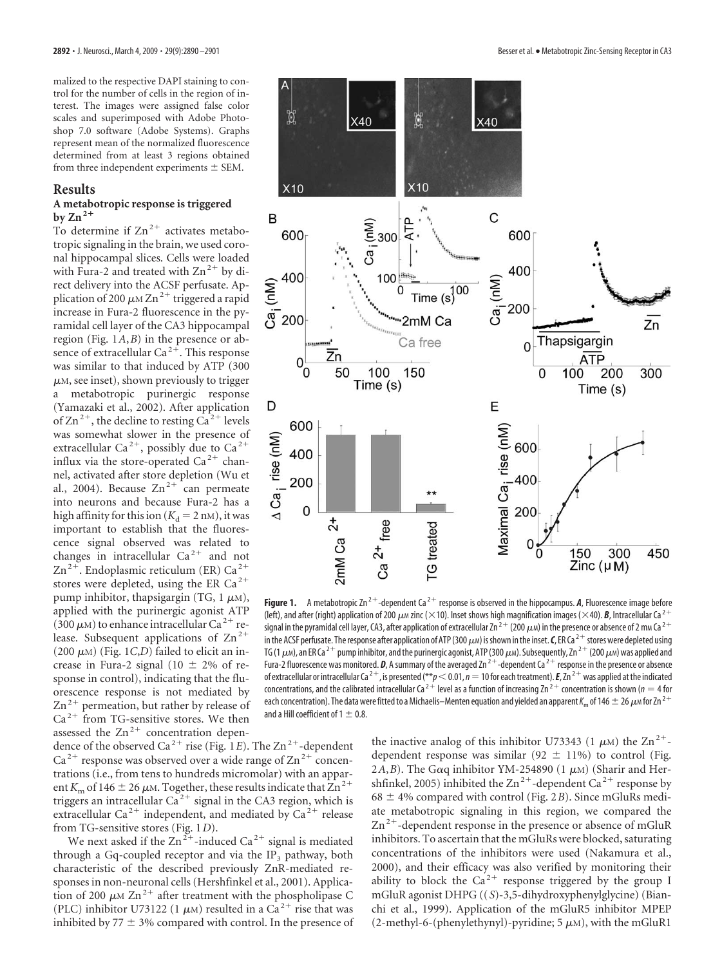malized to the respective DAPI staining to control for the number of cells in the region of interest. The images were assigned false color scales and superimposed with Adobe Photoshop 7.0 software (Adobe Systems). Graphs represent mean of the normalized fluorescence determined from at least 3 regions obtained from three independent experiments  $\pm$  SEM.

#### **Results**

#### **A metabotropic response is triggered**  $by Zn^{2+}$

To determine if  $\text{Zn}^{2+}$  activates metabotropic signaling in the brain, we used coronal hippocampal slices. Cells were loaded with Fura-2 and treated with  $\text{Zn}^{2+}$  by direct delivery into the ACSF perfusate. Application of 200  $\mu$ M Zn<sup>2+</sup> triggered a rapid increase in Fura-2 fluorescence in the pyramidal cell layer of the CA3 hippocampal region (Fig. 1*A*,*B*) in the presence or absence of extracellular Ca<sup>2+</sup>. This response was similar to that induced by ATP (300  $\mu$ м, see inset), shown previously to trigger a metabotropic purinergic response (Yamazaki et al., 2002). After application of  $\text{Zn}^{2+}$ , the decline to resting Ca<sup>2+</sup> levels was somewhat slower in the presence of extracellular Ca<sup>2+</sup>, possibly due to Ca<sup>2+</sup> influx via the store-operated  $Ca^{2+}$  channel, activated after store depletion (Wu et al., 2004). Because  $Zn^{2+}$  can permeate into neurons and because Fura-2 has a high affinity for this ion  $(K_d = 2 \text{ nm})$ , it was important to establish that the fluorescence signal observed was related to changes in intracellular  $Ca^{2+}$  and not  $\text{Zn}^2$ <sup>+</sup>. Endoplasmic reticulum (ER) Ca<sup>2+</sup> stores were depleted, using the ER Ca<sup>2+</sup> pump inhibitor, thapsigargin (TG, 1  $\mu$ м), applied with the purinergic agonist ATP  $(300 \,\mu)$  to enhance intracellular Ca<sup>2+</sup> release. Subsequent applications of  $\text{Zn}^{2+}$  $(200 \mu M)$  (Fig. 1*C*,*D*) failed to elicit an increase in Fura-2 signal (10  $\pm$  2% of response in control), indicating that the fluorescence response is not mediated by  $\text{Zn}^{2+}$  permeation, but rather by release of  $Ca<sup>2+</sup>$  from TG-sensitive stores. We then assessed the  $Zn^{2+}$  concentration depen-

dence of the observed Ca<sup>2+</sup> rise (Fig. 1*E*). The Zn<sup>2+</sup>-dependent  $Ca<sup>2+</sup>$  response was observed over a wide range of  $Zn<sup>2+</sup>$  concentrations (i.e., from tens to hundreds micromolar) with an apparent  $K_{\rm m}$  of 146  $\pm$  26  $\mu$ m. Together, these results indicate that  $\rm Zn^{2+}$ triggers an intracellular  $Ca^{2+}$  signal in the CA3 region, which is extracellular Ca<sup>2+</sup> independent, and mediated by Ca<sup>2+</sup> release from TG-sensitive stores (Fig. 1*D*).

We next asked if the  $Zn^{2+}$ -induced  $Ca^{2+}$  signal is mediated through a Gq-coupled receptor and via the  $IP_3$  pathway, both characteristic of the described previously ZnR-mediated responses in non-neuronal cells (Hershfinkel et al., 2001). Application of 200  $\mu$ M Zn<sup>2+</sup> after treatment with the phospholipase C (PLC) inhibitor U73122 (1  $\mu$ M) resulted in a Ca<sup>2+</sup> rise that was inhibited by  $77 \pm 3\%$  compared with control. In the presence of



**Figure 1.** A metabotropic Zn<sup>2+</sup>-dependent Ca<sup>2+</sup> response is observed in the hippocampus. A, Fluorescence image before (left), and after (right) application of 200  $\mu$ m zinc ( $\times$ 10). Inset shows high magnification images ( $\times$ 40). *B*, Intracellular Ca<sup>2+</sup> signal in the pyramidal cell layer, CA3, after application of extracellular Zn  $^{2+}$  (200  $\mu$ m) in the presence or absence of 2 mm Ca  $^{2+}$ in the ACSF perfusate. The response after application of ATP (300  $\mu$ m) is shown in the inset. **C**, ER Ca <sup>2 +</sup> stores were depleted using TG (1  $\mu$ м), an ER Ca <sup>2 +</sup> pump inhibitor, and the purinergic agonist, ATP (300  $\mu$ м). Subsequently, Zn <sup>2 +</sup> (200  $\mu$ м) was applied and Fura-2 fluorescence was monitored. **D**, A summary of the averaged Zn<sup>2+</sup>-dependent Ca<sup>2+</sup> response in the presence or absence of extracellular or intracellular Ca<sup>2+</sup>, is presented (\*\* $p$  < 0.01,  $n$  = 10 for each treatment). **E**, Zn<sup>2+</sup> was applied at the indicated concentrations, and the calibrated intracellular Ca<sup>2+</sup> level as a function of increasing Zn<sup>2+</sup> concentration is shown (*n* = 4 for each concentration). The data were fitted to a Michaelis–Menten equation and yielded an apparent  $\kappa_{\rm m}$  of 146  $\pm$  26  $\mu$ м for Zn  $^{2+}$ and a Hill coefficient of  $1 \pm 0.8$ .

the inactive analog of this inhibitor U73343 (1  $\mu$ M) the Zn<sup>2+</sup>dependent response was similar (92  $\pm$  11%) to control (Fig. 2A, B). The G $\alpha$ q inhibitor YM-254890 (1  $\mu$ m) (Sharir and Hershfinkel, 2005) inhibited the  $\text{Zn}^{2+}$ -dependent Ca<sup>2+</sup> response by  $68 \pm 4\%$  compared with control (Fig. 2*B*). Since mGluRs mediate metabotropic signaling in this region, we compared the  $\text{Zn}^2$ <sup>+</sup>-dependent response in the presence or absence of mGluR inhibitors. To ascertain that the mGluRs were blocked, saturating concentrations of the inhibitors were used (Nakamura et al., 2000), and their efficacy was also verified by monitoring their ability to block the  $Ca^{2+}$  response triggered by the group I mGluR agonist DHPG ((*S*)-3,5-dihydroxyphenylglycine) (Bianchi et al., 1999). Application of the mGluR5 inhibitor MPEP  $(2$ -methyl-6-(phenylethynyl)-pyridine; 5  $\mu$ <sub>M</sub>), with the mGluR1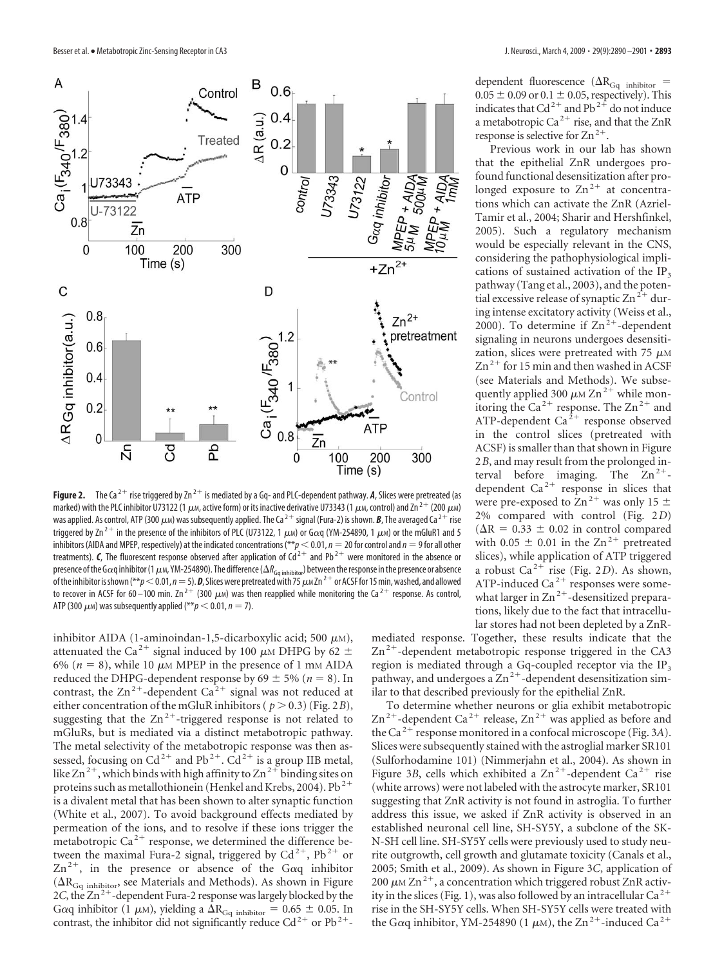

**Figure 2.** The Ca<sup>2+</sup> rise triggered by Zn<sup>2+</sup> is mediated by a Gq- and PLC-dependent pathway. A, Slices were pretreated (as marked) with the PLC inhibitor U73122 (1  $\mu$ m, active form) or its inactive derivative U73343 (1  $\mu$ m, control) and Zn <sup>2 +</sup> (200  $\mu$ m) was applied. As control, ATP (300  $\mu$ m) was subsequently applied. The Ca  $^{2+}$  signal (Fura-2) is shown. **B**, The averaged Ca  $^{2+}$  rise triggered by Zn<sup>2+</sup> in the presence of the inhibitors of PLC (U73122, 1  $\mu$ m) or G $\alpha$ q (YM-254890, 1  $\mu$ m) or the mGluR1 and 5 inhibitors (AIDA and MPEP, respectively) at the indicated concentrations ( $*p < 0.01$ ,  $n = 20$  for control and  $n = 9$  for all other treatments). *C*, The fluorescent response observed after application of  $Cd^{2+}$  and Pb<sup>2+</sup> were monitored in the absence or presence of the G $\alpha$ q inhibitor (1  $\mu$ m, YM-254890). The difference ( $\Delta R_{\rm Gq}$ <sub>inhibitor</sub>) between the response in the presence or absence of the inhibitor is shown (\*\* $p$   $<$  0.01,  $n$   $=$  5).  $\bm{D}$ , Slices were pretreated with 75  $\mu$  m Zn <sup>2 +</sup> or ACSF for 15 min, washed, and allowed to recover in ACSF for 60–100 min. Zn $^{2+}$  (300  $\mu$ m) was then reapplied while monitoring the Ca $^{2+}$  response. As control, ATP (300  $\mu$ m) was subsequently applied (\*\* $p < 0.01$ ,  $n = 7$ ).

inhibitor AIDA (1-aminoindan-1,5-dicarboxylic acid; 500  $\mu$ m), attenuated the Ca<sup>2+</sup> signal induced by 100  $\mu$ M DHPG by 62  $\pm$ 6% ( $n = 8$ ), while 10  $\mu$ M MPEP in the presence of 1 mM AIDA reduced the DHPG-dependent response by  $69 \pm 5\%$  ( $n = 8$ ). In contrast, the  $\text{Zn}^{2+}$ -dependent  $\text{Ca}^{2+}$  signal was not reduced at either concentration of the mGluR inhibitors ( $p > 0.3$ ) (Fig. 2*B*), suggesting that the  $Zn^{2+}$ -triggered response is not related to mGluRs, but is mediated via a distinct metabotropic pathway. The metal selectivity of the metabotropic response was then assessed, focusing on  $Cd^{2+}$  and Pb<sup>2+</sup>.  $Cd^{2+}$  is a group IIB metal, like Zn<sup>2+</sup>, which binds with high affinity to Zn<sup>2+</sup> binding sites on proteins such as metallothionein (Henkel and Krebs, 2004). Pb<sup>2+</sup> is a divalent metal that has been shown to alter synaptic function (White et al., 2007). To avoid background effects mediated by permeation of the ions, and to resolve if these ions trigger the metabotropic  $Ca^{2+}$  response, we determined the difference between the maximal Fura-2 signal, triggered by  $Cd^{2+}$ , Pb<sup>2+</sup> or  $\text{Zn}^{2+}$ , in the presence or absence of the G $\alpha q$  inhibitor  $( \Delta R_{Gq \text{ inhibitor}} )$  see Materials and Methods). As shown in Figure 2*C*, the  $Zn^{2+}$ -dependent Fura-2 response was largely blocked by the G $\alpha$ q inhibitor (1  $\mu$ M), yielding a  $\Delta R_{\text{Gq}}$  <sub>inhibitor</sub> = 0.65  $\pm$  0.05. In contrast, the inhibitor did not significantly reduce  $Cd^{2+}$  or  $Pb^{2+}$ -

dependent fluorescence ( $\Delta R_{\text{Gq}}$  <sub>inhibitor</sub> =  $0.05 \pm 0.09$  or  $0.1 \pm 0.05$ , respectively). This indicates that Cd<sup>2+</sup> and Pb<sup>2+</sup> do not induce a metabotropic Ca<sup>2+</sup> rise, and that the ZnR response is selective for  $Zn^{2+}$ .

Previous work in our lab has shown that the epithelial ZnR undergoes profound functional desensitization after prolonged exposure to  $\text{Zn}^{2+}$  at concentrations which can activate the ZnR (Azriel-Tamir et al., 2004; Sharir and Hershfinkel, 2005). Such a regulatory mechanism would be especially relevant in the CNS, considering the pathophysiological implications of sustained activation of the IP<sub>3</sub> pathway (Tang et al., 2003), and the potential excessive release of synaptic  $Zn^{2+}$  during intense excitatory activity (Weiss et al., 2000). To determine if  $Zn^{2+}$ -dependent signaling in neurons undergoes desensitization, slices were pretreated with 75  $\mu$ м  $Zn^{2+}$  for 15 min and then washed in ACSF (see Materials and Methods). We subsequently applied 300  $\mu$ M Zn<sup>2+</sup> while monitoring the Ca<sup>2+</sup> response. The  $\text{Zn}^{2+}$  and ATP-dependent Ca<sup>2+</sup> response observed in the control slices (pretreated with ACSF) is smaller than that shown in Figure 2*B*, and may result from the prolonged interval before imaging. The  $Zn^{2+}$ dependent  $Ca^{2+}$  response in slices that were pre-exposed to  $\text{Zn}^{2+}$  was only 15  $\pm$ 2% compared with control (Fig. 2*D*)  $(\Delta R = 0.33 \pm 0.02$  in control compared with 0.05  $\pm$  0.01 in the Zn<sup>2+</sup> pretreated slices), while application of ATP triggered a robust  $Ca^{2+}$  rise (Fig. 2*D*). As shown, ATP-induced Ca<sup>2+</sup> responses were somewhat larger in  $Zn^{2+}$ -desensitized preparations, likely due to the fact that intracellular stores had not been depleted by a ZnR-

mediated response. Together, these results indicate that the  $Zn^{2+}$ -dependent metabotropic response triggered in the CA3 region is mediated through a Gq-coupled receptor via the  $IP<sub>3</sub>$ pathway, and undergoes a  $Zn^{2+}$ -dependent desensitization similar to that described previously for the epithelial ZnR.

To determine whether neurons or glia exhibit metabotropic  $\text{Zn}^{2+}$ -dependent Ca<sup>2+</sup> release,  $\text{Zn}^{2+}$  was applied as before and the Ca<sup>2+</sup> response monitored in a confocal microscope (Fig. 3A). Slices were subsequently stained with the astroglial marker SR101 (Sulforhodamine 101) (Nimmerjahn et al., 2004). As shown in Figure 3*B*, cells which exhibited a  $Zn^{2+}$ -dependent Ca<sup>2+</sup> rise (white arrows) were not labeled with the astrocyte marker, SR101 suggesting that ZnR activity is not found in astroglia. To further address this issue, we asked if ZnR activity is observed in an established neuronal cell line, SH-SY5Y, a subclone of the SK-N-SH cell line. SH-SY5Y cells were previously used to study neurite outgrowth, cell growth and glutamate toxicity (Canals et al., 2005; Smith et al., 2009). As shown in Figure 3*C*, application of 200  $\mu$ M Zn<sup>2+</sup>, a concentration which triggered robust ZnR activity in the slices (Fig. 1), was also followed by an intracellular  $Ca^{2+}$ rise in the SH-SY5Y cells. When SH-SY5Y cells were treated with the G $\alpha$ q inhibitor, YM-254890 (1  $\mu$ м), the Zn<sup>2+</sup>-induced Ca<sup>2+</sup>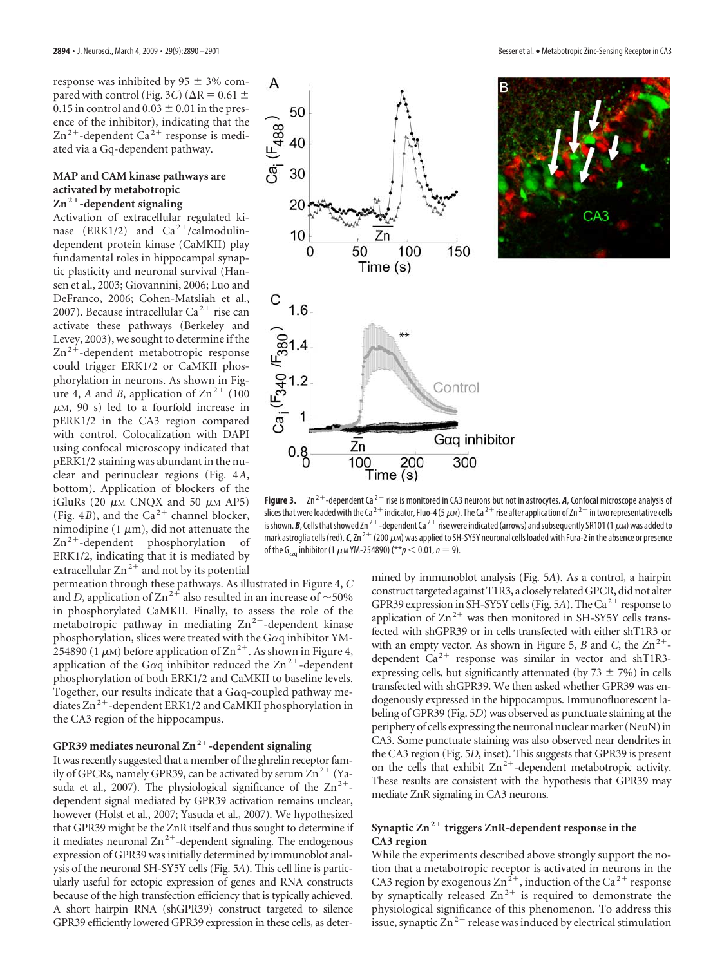response was inhibited by  $95 \pm 3\%$  compared with control (Fig. 3*C*) ( $\Delta$ R = 0.61  $\pm$ 0.15 in control and  $0.03 \pm 0.01$  in the presence of the inhibitor), indicating that the  $\text{Zn}^{2+}$ -dependent Ca<sup>2+</sup> response is mediated via a Gq-dependent pathway.

#### **MAP and CAM kinase pathways are activated by metabotropic Zn2-dependent signaling**

Activation of extracellular regulated kinase (ERK1/2) and  $Ca^{2+}/cal$ calmodulindependent protein kinase (CaMKII) play fundamental roles in hippocampal synaptic plasticity and neuronal survival (Hansen et al., 2003; Giovannini, 2006; Luo and DeFranco, 2006; Cohen-Matsliah et al., 2007). Because intracellular Ca<sup>2+</sup> rise can activate these pathways (Berkeley and Levey, 2003), we sought to determine if the  $\text{Zn}^2$ <sup>+</sup>-dependent metabotropic response could trigger ERK1/2 or CaMKII phosphorylation in neurons. As shown in Figure 4, *A* and *B*, application of  $\text{Zn}^{2+}$  (100)  $\mu$ м, 90 s) led to a fourfold increase in pERK1/2 in the CA3 region compared with control. Colocalization with DAPI using confocal microscopy indicated that pERK1/2 staining was abundant in the nuclear and perinuclear regions (Fig. 4*A*, bottom). Application of blockers of the iGluRs (20  $\mu$ M CNQX and 50  $\mu$ M AP5) (Fig. 4*B*), and the Ca<sup>2+</sup> channel blocker, nimodipine (1  $\mu$ m), did not attenuate the  $Zn^{2+}$ -dependent phosphorylation of ERK1/2, indicating that it is mediated by extracellular  $\text{Zn}^{2+}$  and not by its potential

permeation through these pathways. As illustrated in Figure 4, *C* and *D*, application of Zn<sup>2+</sup> also resulted in an increase of  $\sim$  50% in phosphorylated CaMKII. Finally, to assess the role of the metabotropic pathway in mediating  $Zn^{2+}$ -dependent kinase phosphorylation, slices were treated with the G $\alpha$ q inhibitor YM-254890 (1  $\mu$ M) before application of Zn<sup>2+</sup>. As shown in Figure 4, application of the G $\alpha$ q inhibitor reduced the Zn<sup>2+</sup>-dependent phosphorylation of both ERK1/2 and CaMKII to baseline levels. Together, our results indicate that a G $\alpha$ q-coupled pathway mediates  $\text{Zn}^{2+}$ -dependent ERK1/2 and CaMKII phosphorylation in the CA3 region of the hippocampus.

### GPR39 mediates neuronal Zn<sup>2+</sup>-dependent signaling

It was recently suggested that a member of the ghrelin receptor family of GPCRs, namely GPR39, can be activated by serum  $Zn^{2+}$  (Yasuda et al., 2007). The physiological significance of the  $Zn^{2+}$ dependent signal mediated by GPR39 activation remains unclear, however (Holst et al., 2007; Yasuda et al., 2007). We hypothesized that GPR39 might be the ZnR itself and thus sought to determine if it mediates neuronal  $\text{Zn}^{2+}$ -dependent signaling. The endogenous expression of GPR39 was initially determined by immunoblot analysis of the neuronal SH-SY5Y cells (Fig. 5*A*). This cell line is particularly useful for ectopic expression of genes and RNA constructs because of the high transfection efficiency that is typically achieved. A short hairpin RNA (shGPR39) construct targeted to silence GPR39 efficiently lowered GPR39 expression in these cells, as deter-





**Figure 3.** Zn<sup>2+</sup>-dependent Ca<sup>2+</sup> rise is monitored in CA3 neurons but not in astrocytes. A, Confocal microscope analysis of slices that were loaded with the Ca <sup>2 +</sup> indicator, Fluo-4 (5  $\mu$ m). The Ca <sup>2 +</sup> rise after application of Zn <sup>2 +</sup> in two representative cells is shown. **B**, Cells that showed Zn <sup>2 +</sup> -dependent Ca <sup>2 +</sup> rise were indicated (arrows) and subsequently SR101 (1  $\mu$ m) was added to mark astroglia cells (red). **C**, Zn <sup>2+</sup> (200  $\mu$ м) was applied to SH-SY5Y neuronal cells loaded with Fura-2 in the absence or presence of the G<sub>αq</sub> inhibitor (1  $\mu$ м YM-254890) (\*\* $p$   $<$  0.01,  $n$   $=$  9).

mined by immunoblot analysis (Fig. 5*A*). As a control, a hairpin construct targeted against T1R3, a closely related GPCR, did not alter GPR39 expression in SH-SY5Y cells (Fig. 5A). The Ca<sup>2+</sup> response to application of  $Zn^{2+}$  was then monitored in SH-SY5Y cells transfected with shGPR39 or in cells transfected with either shT1R3 or with an empty vector. As shown in Figure 5, *B* and *C*, the  $Zn^{2+}$ dependent  $Ca^{2+}$  response was similar in vector and shT1R3expressing cells, but significantly attenuated (by  $73 \pm 7\%$ ) in cells transfected with shGPR39. We then asked whether GPR39 was endogenously expressed in the hippocampus. Immunofluorescent labeling of GPR39 (Fig. 5*D*) was observed as punctuate staining at the periphery of cells expressing the neuronal nuclear marker (NeuN) in CA3. Some punctuate staining was also observed near dendrites in the CA3 region (Fig. 5*D*, inset). This suggests that GPR39 is present on the cells that exhibit  $Zn^{2+}$ -dependent metabotropic activity. These results are consistent with the hypothesis that GPR39 may mediate ZnR signaling in CA3 neurons.

#### **Synaptic Zn2 triggers ZnR-dependent response in the CA3 region**

While the experiments described above strongly support the notion that a metabotropic receptor is activated in neurons in the CA3 region by exogenous Zn<sup>2+</sup>, induction of the Ca<sup>2+</sup> response by synaptically released  $\text{Zn}^{2+}$  is required to demonstrate the physiological significance of this phenomenon. To address this issue, synaptic  $\text{Zn}^{2+}$  release was induced by electrical stimulation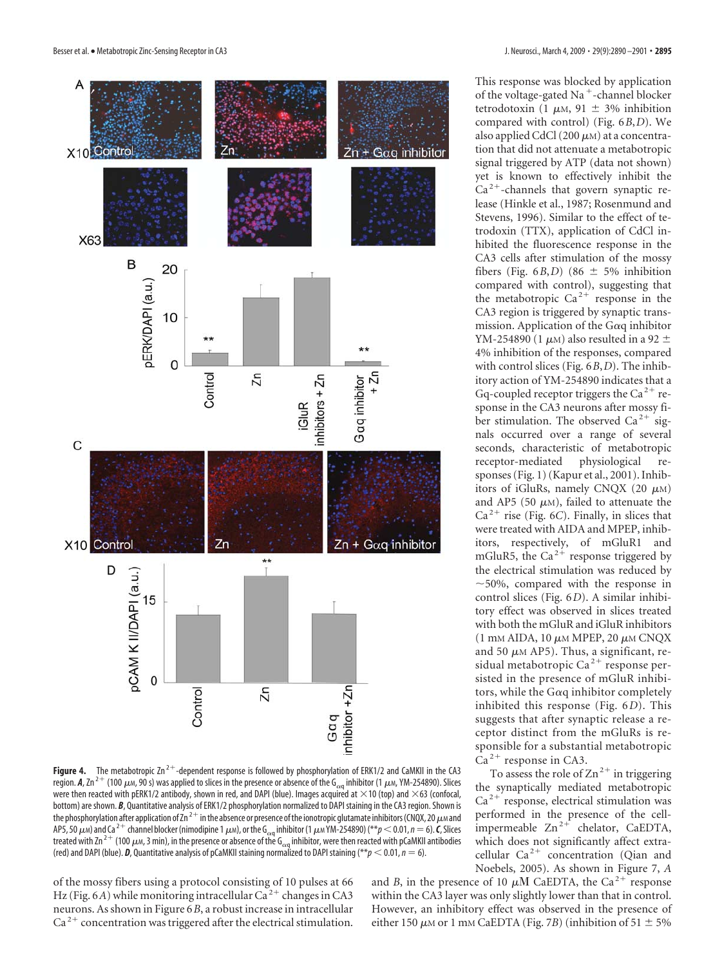

This response was blocked by application of the voltage-gated Na<sup>+</sup>-channel blocker tetrodotoxin (1  $\mu$ M, 91  $\pm$  3% inhibition compared with control) (Fig. 6*B*,*D*). We also applied CdCl  $(200 \ \mu)$  at a concentration that did not attenuate a metabotropic signal triggered by ATP (data not shown) yet is known to effectively inhibit the  $Ca<sup>2+</sup>$ -channels that govern synaptic release (Hinkle et al., 1987; Rosenmund and Stevens, 1996). Similar to the effect of tetrodoxin (TTX), application of CdCl inhibited the fluorescence response in the CA3 cells after stimulation of the mossy fibers (Fig.  $6B$ , *D*) (86  $\pm$  5% inhibition compared with control), suggesting that the metabotropic  $Ca^{2+}$  response in the CA3 region is triggered by synaptic transmission. Application of the G $\alpha$ q inhibitor YM-254890 (1  $\mu$ m) also resulted in a 92  $\pm$ 4% inhibition of the responses, compared with control slices (Fig. 6*B*,*D*). The inhibitory action of YM-254890 indicates that a Gq-coupled receptor triggers the  $Ca^{2+}$  response in the CA3 neurons after mossy fiber stimulation. The observed Ca<sup>2+</sup> signals occurred over a range of several seconds, characteristic of metabotropic receptor-mediated physiological responses (Fig. 1) (Kapur et al., 2001). Inhibitors of iGluRs, namely CNQX (20  $\mu$ m) and AP5 (50  $\mu$ M), failed to attenuate the  $Ca<sup>2+</sup>$  rise (Fig. 6*C*). Finally, in slices that were treated with AIDA and MPEP, inhibitors, respectively, of mGluR1 and mGluR5, the Ca<sup>2+</sup> response triggered by the electrical stimulation was reduced by  $\sim$  50%, compared with the response in control slices (Fig. 6*D*). A similar inhibitory effect was observed in slices treated with both the mGluR and iGluR inhibitors  $(1 \text{ mM } \text{AIDA}, 10 \mu \text{M } \text{MPEP}, 20 \mu \text{M } \text{CNQX})$ and 50  $\mu$ m AP5). Thus, a significant, residual metabotropic Ca<sup>2+</sup> response persisted in the presence of mGluR inhibitors, while the G $\alpha$ q inhibitor completely inhibited this response (Fig. 6*D*). This suggests that after synaptic release a receptor distinct from the mGluRs is responsible for a substantial metabotropic  $Ca<sup>2+</sup>$  response in CA3.

To assess the role of  $Zn^{2+}$  in triggering the synaptically mediated metabotropic  $Ca<sup>2+</sup>$  response, electrical stimulation was performed in the presence of the cellimpermeable  $\text{Zn}^{2+}$  chelator, CaEDTA, which does not significantly affect extracellular  $Ca^{2+}$  concentration (Qian and Noebels, 2005). As shown in Figure 7, *A*

region. *A,* **Zn<sup>2+</sup> (100**  $\mu$ м, 90 s) was applied to slices in the presence or absence of the G<sub>aq</sub> inhibitor (1  $\mu$ м, YM-254890). Slices were then reacted with pERK1/2 antibody, shown in red, and DAPI (blue). Images acquired at  $\times$ 10 (top) and  $\times$ 63 (confocal, bottom) are shown. *B*, Quantitative analysis of ERK1/2 phosphorylation normalized to DAPI staining in the CA3 region. Shown is the phosphorylation after application of Zn  $^{2+}$  in the absence or presence of the ionotropic glutamate inhibitors (CNQX, 20  $\mu$ m and AP5, 50  $\mu$ м) and Ca <sup>2 +</sup> channel blocker (nimodipine 1  $\mu$ м), or the G<sub>oq</sub> inhibitor (1  $\mu$ м YM-254890) (\*\* $p$   $<$  0.01,  $n$   $=$  6).  $\bm{\mathcal{C}}$ , Slices treated with Zn <sup>2+</sup> (100  $\mu$ м, 3 min), in the presence or absence of the G<sub>aq</sub> inhibitor, were then reacted with pCaMKII antibodies (red) and DAPI (blue).  $\bm{D}$ , Quantitative analysis of pCaMKII staining normalized to DAPI staining (\*\* $p < 0.01$ ,  $n = 6$ ).

of the mossy fibers using a protocol consisting of 10 pulses at 66 Hz (Fig. 6*A*) while monitoring intracellular Ca<sup>2+</sup> changes in CA3 neurons. As shown in Figure 6*B*, a robust increase in intracellular  $Ca<sup>2+</sup>$  concentration was triggered after the electrical stimulation.

and *B*, in the presence of 10  $\mu$ M CaEDTA, the Ca<sup>2+</sup> response within the CA3 layer was only slightly lower than that in control. However, an inhibitory effect was observed in the presence of either 150  $\mu$ M or 1 mM CaEDTA (Fig. 7*B*) (inhibition of 51  $\pm$  5%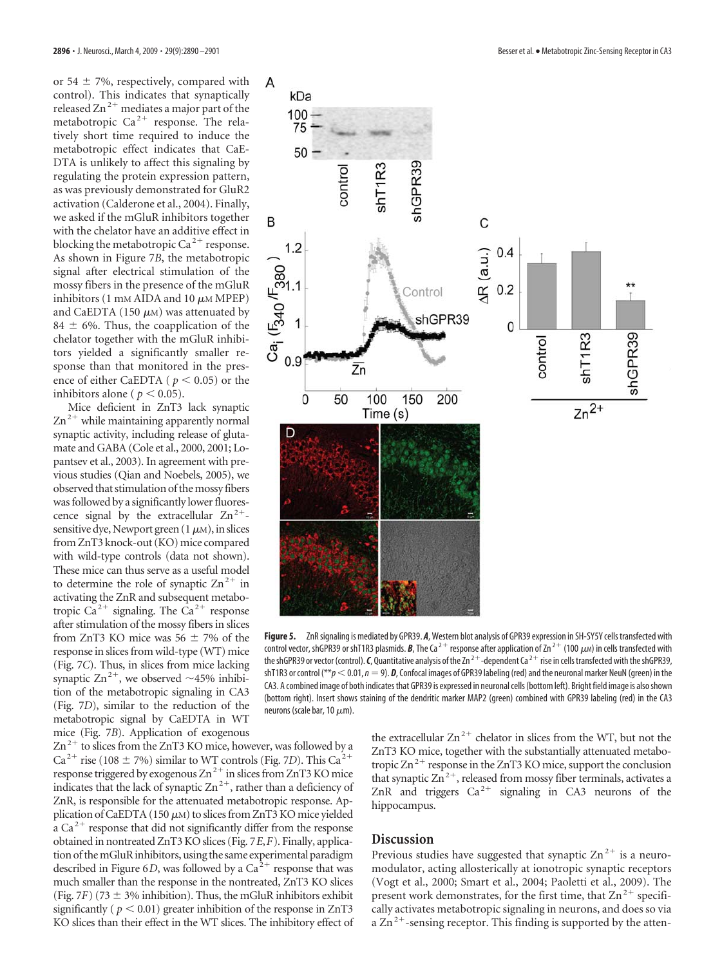or 54  $\pm$  7%, respectively, compared with control). This indicates that synaptically released  $\text{Zn}^{2+}$  mediates a major part of the metabotropic  $Ca^{2+}$  response. The relatively short time required to induce the metabotropic effect indicates that CaE-DTA is unlikely to affect this signaling by regulating the protein expression pattern, as was previously demonstrated for GluR2 activation (Calderone et al., 2004). Finally, we asked if the mGluR inhibitors together with the chelator have an additive effect in blocking the metabotropic Ca<sup>2+</sup> response. <br>As shown in Figure 7B, the metabotropic signal after electrical stimulation of the mossy fibers in the presence of the mGluR inhibitors (1 mM AIDA and 10  $\mu$ M MPEP) and CaEDTA As shown in Figure 7*B*, the metabotropic signal after electrical stimulation of the mossy fibers in the presence of the mGluR inhibitors (1 mm AIDA and 10  $\mu$ m MPEP) and CaEDTA (150  $\mu$ m) was attenuated by 84  $\pm$  6%. Thus, the coapplication of the chelator together with the mGluR inhibitors yielded a significantly smaller response than that monitored in the presence of either CaEDTA ( $p < 0.05$ ) or the inhibitors alone ( $p < 0.05$ ).

Mice deficient in ZnT3 lack synaptic  $\text{Zn}^{2+}$  while maintaining apparently normal synaptic activity, including release of glutamate and GABA (Cole et al., 2000, 2001; Lopantsev et al., 2003). In agreement with previous studies (Qian and Noebels, 2005), we observed that stimulation of the mossy fibers was followed by a significantly lower fluorescence signal by the extracellular  $Zn^{2+}$ sensitive dye, Newport green (1  $\mu$ m), in slices from ZnT3 knock-out (KO) mice compared with wild-type controls (data not shown). These mice can thus serve as a useful model to determine the role of synaptic  $\text{Zn}^{2+}$  in activating the ZnR and subsequent metabotropic Ca<sup>2+</sup> signaling. The Ca<sup>2+</sup> response after stimulation of the mossy fibers in slices from ZnT3 KO mice was  $56 \pm 7\%$  of the response in slices from wild-type (WT) mice (Fig. 7*C*). Thus, in slices from mice lacking synaptic  $\text{Zn}^{2+}$ , we observed  $\sim$ 45% inhibition of the metabotropic signaling in CA3 (Fig. 7*D*), similar to the reduction of the metabotropic signal by CaEDTA in WT mice (Fig. 7*B*). Application of exogenous



**Figure 5.** ZnRsignaling is mediated by GPR39. *A*, Western blot analysis of GPR39 expression in SH-SY5Y cells transfected with control vector, shGPR39 or shT1R3 plasmids. *B*, The Ca <sup>2+</sup> response after application of Zn <sup>2+</sup> (100  $\mu$ м) in cells transfected with the shGPR39 or vector (control). *C*, Quantitative analysis of the Zn<sup>2+</sup>-dependent Ca<sup>2+</sup> rise in cells transfected with the shGPR39, shT1R3 or control ( $*p<0.01$ ,  $n=9$ ). *D*, Confocal images of GPR39 labeling (red) and the neuronal marker NeuN (green) in the CA3. A combined image of both indicates that GPR39 is expressed in neuronal cells (bottom left). Bright field image is alsoshown (bottom right). Insert shows staining of the dendritic marker MAP2 (green) combined with GPR39 labeling (red) in the CA3 neurons (scale bar, 10  $\mu$ m).

 $\text{Zn}^{2+}$  to slices from the ZnT3 KO mice, however, was followed by a  $Ca^{2+}$  rise (108  $\pm$  7%) similar to WT controls (Fig. 7*D*). This  $Ca^{2+}$ response triggered by exogenous  $\text{Zn}^{2+}$  in slices from ZnT3 KO mice indicates that the lack of synaptic  $\text{Zn}^{2+}$ , rather than a deficiency of ZnR, is responsible for the attenuated metabotropic response. Application of CaEDTA (150  $\mu$ m) to slices from ZnT3 KO mice yielded a  $Ca<sup>2+</sup>$  response that did not significantly differ from the response obtained in nontreated ZnT3 KO slices (Fig. 7*E*,*F*). Finally, application of themGluRinhibitors, using the same experimental paradigm described in Figure 6*D*, was followed by a  $Ca<sup>2+</sup>$  response that was much smaller than the response in the nontreated, ZnT3 KO slices (Fig. 7*F*) (73  $\pm$  3% inhibition). Thus, the mGluR inhibitors exhibit significantly ( $p < 0.01$ ) greater inhibition of the response in ZnT3 KO slices than their effect in the WT slices. The inhibitory effect of the extracellular  $\text{Zn}^{2+}$  chelator in slices from the WT, but not the ZnT3 KO mice, together with the substantially attenuated metabotropic  $\text{Zn}^2$  response in the ZnT3 KO mice, support the conclusion that synaptic  $\text{Zn}^{2+}$ , released from mossy fiber terminals, activates a ZnR and triggers  $Ca^{2+}$  signaling in CA3 neurons of the hippocampus.

### **Discussion**

Previous studies have suggested that synaptic  $\text{Zn}^{2+}$  is a neuromodulator, acting allosterically at ionotropic synaptic receptors (Vogt et al., 2000; Smart et al., 2004; Paoletti et al., 2009). The present work demonstrates, for the first time, that  $\text{Zn}^2$  specifically activates metabotropic signaling in neurons, and does so via a  $\overline{\text{Zn}}^{2+}$ -sensing receptor. This finding is supported by the atten-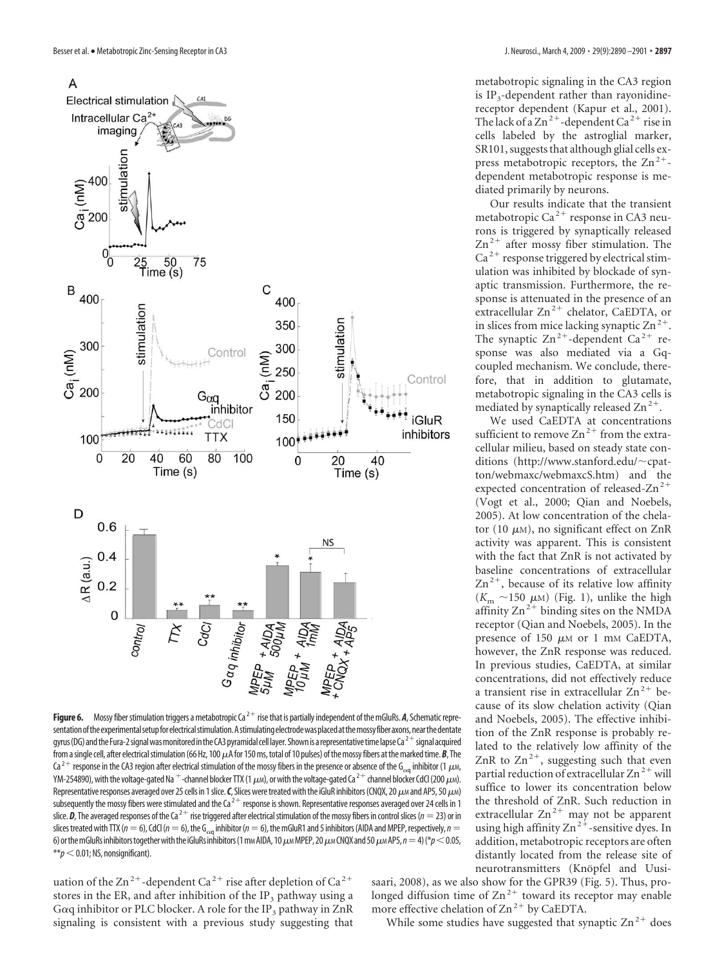

**Figure 6.** Mossy fiber stimulation triggers a metabotropic Ca<sup>2+</sup> rise that is partially independent of the mGluRs. *A*, Schematic representation of the experimental setup for electrical stimulation. A stimulating electrode was placed at the mossy fiber axons, near the dentate gyrus (DG) and the Fura-2 signal was monitored in the CA3 pyramidal cell layer. Shown is a representative time lapse Ca<sup>2+</sup> signal acquired from a single cell, after electrical stimulation (66 Hz, 100  $\mu$ A for 150 ms, total of 10 pulses) of the mossy fibers at the marked time. *B,* The Ca  $^{2+}$  response in the CA3 region after electrical stimulation of the mossy fibers in the presence or absence of the G $_{\alpha q}$  inhibitor (1  $\mu$ м, YM-254890), with the voltage-gated Na  $^+$ -channel blocker TTX (1  $\mu$ m), or with the voltage-gated Ca  $^{2+}$  channel blocker CdCl (200  $\mu$ m). Representative responses averaged over 25 cells in 1 slice. **C**, Slices were treated with the iGluR inhibitors (CNQX, 20  $\mu$ м and AP5, 50  $\mu$ м) subsequently the mossy fibers were stimulated and the Ca<sup>2+</sup> response is shown. Representative responses averaged over 24 cells in 1 slice. **D**, The averaged responses of the Ca<sup>2+</sup> rise triggered after electrical stimulation of the mossy fibers in control slices ( $n = 23$ ) or in slices treated with TTX ( $n=6$ ), CdCl ( $n=6$ ), the G<sub>cq</sub> inhibitor ( $n=6$ ), the mGluR1 and 5 inhibitors (AIDA and MPEP, respectively,  $n=$ 6) or the mGluRs inhibitors together with the iGluRs inhibitors (1 mm AIDA, 10  $\mu$ m MPEP, 20  $\mu$ m CNQX and 50  $\mu$ m AP5,  $n=4$ ) (\* $p$   $<$  0.05,  $**p<$  0.01; NS, nonsignificant).

uation of the  $\text{Zn}^{2+}$ -dependent Ca<sup>2+</sup> rise after depletion of Ca<sup>2+</sup> stores in the ER, and after inhibition of the IP<sub>3</sub> pathway using a G $\alpha$ q inhibitor or PLC blocker. A role for the IP<sub>3</sub> pathway in ZnR signaling is consistent with a previous study suggesting that

metabotropic signaling in the CA3 region is  $IP_3$ -dependent rather than rayonidinereceptor dependent (Kapur et al., 2001). The lack of a  $\text{Zn}^{2+}$ -dependent Ca<sup>2+</sup> rise in cells labeled by the astroglial marker, SR101, suggests that although glial cells express metabotropic receptors, the  $\text{Zn}^{2+}$ dependent metabotropic response is mediated primarily by neurons.

Our results indicate that the transient metabotropic Ca $^{2+}$  response in CA3 neurons is triggered by synaptically released  $\text{Zn}^{2+}$  after mossy fiber stimulation. The  $Ca<sup>2+</sup>$  response triggered by electrical stimulation was inhibited by blockade of synaptic transmission. Furthermore, the response is attenuated in the presence of an extracellular  $\text{Zn}^{2+}$  chelator, CaEDTA, or in slices from mice lacking synaptic  $\text{Zn}^{2+}$ . The synaptic  $\text{Zn}^{2+}$ -dependent  $\text{Ca}^{2+}$  response was also mediated via a Gqcoupled mechanism. We conclude, therefore, that in addition to glutamate, metabotropic signaling in the CA3 cells is mediated by synaptically released  $\text{Zn}^{2+}$ .

We used CaEDTA at concentrations sufficient to remove  $\text{Zn}^{2+}$  from the extracellular milieu, based on steady state conditions (http://www.stanford.edu/~cpatton/webmaxc/webmaxcS.htm) and the expected concentration of released- $Zn^{2+}$ (Vogt et al., 2000; Qian and Noebels, 2005). At low concentration of the chelator (10  $\mu$ m), no significant effect on ZnR activity was apparent. This is consistent with the fact that ZnR is not activated by baseline concentrations of extracellular  $\text{Zn}^{2+}$ , because of its relative low affinity  $(K<sub>m</sub> ~ 150 \mu M)$  (Fig. 1), unlike the high affinity  $Zn^{2+}$  binding sites on the NMDA receptor (Qian and Noebels, 2005). In the presence of 150  $\mu$ m or 1 mm CaEDTA, however, the ZnR response was reduced. In previous studies, CaEDTA, at similar concentrations, did not effectively reduce a transient rise in extracellular  $\text{Zn}^2$ <sup>+</sup> because of its slow chelation activity (Qian and Noebels, 2005). The effective inhibition of the ZnR response is probably related to the relatively low affinity of the ZnR to  $\text{Zn}^{2+}$ , suggesting such that even partial reduction of extracellular  $\text{Zn}^{2+}$  will suffice to lower its concentration below the threshold of ZnR. Such reduction in extracellular  $\text{Zn}^{2+}$  may not be apparent using high affinity  $Zn^{2+}$ -sensitive dyes. In addition, metabotropic receptors are often distantly located from the release site of neurotransmitters (Knöpfel and Uusi-

saari, 2008), as we also show for the GPR39 (Fig. 5). Thus, prolonged diffusion time of  $Zn^{2+}$  toward its receptor may enable more effective chelation of  $\text{Zn}^{2+}$  by CaEDTA.

While some studies have suggested that synaptic  $\text{Zn}^{2+}$  does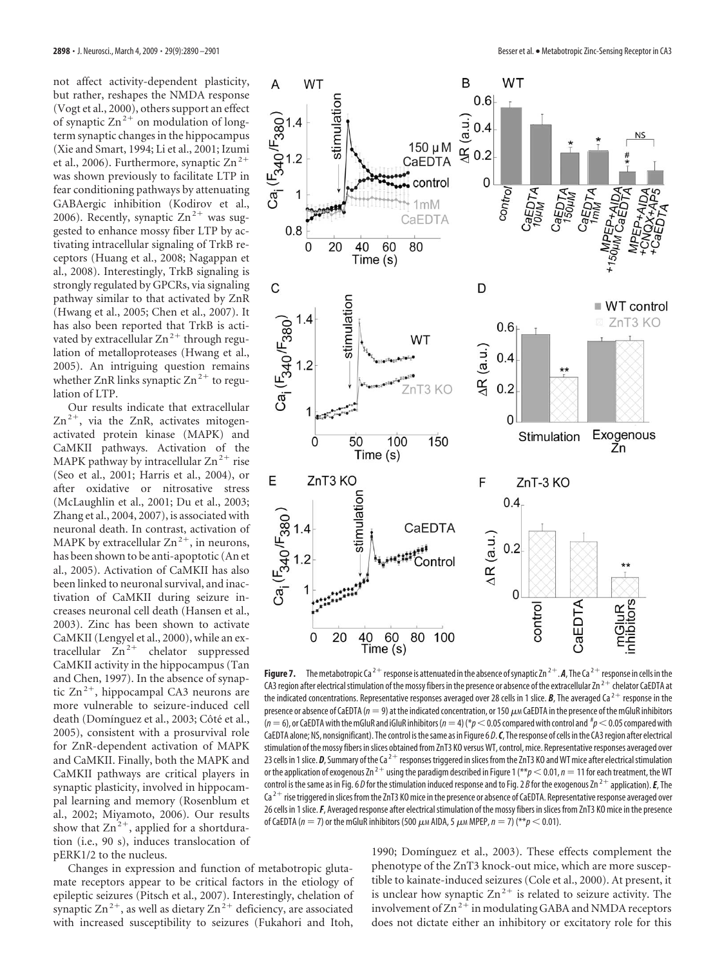not affect activity-dependent plasticity, but rather, reshapes the NMDA response (Vogt et al., 2000), others support an effect of synaptic  $\text{Zn}^{2+}$  on modulation of longterm synaptic changes in the hippocampus (Xie and Smart, 1994; Li et al., 2001; Izumi et al., 2006). Furthermore, synaptic  $\text{Zn}^{2+}$ was shown previously to facilitate LTP in fear conditioning pathways by attenuating GABAergic inhibition (Kodirov et al., 2006). Recently, synaptic  $Zn^{2+}$  was suggested to enhance mossy fiber LTP by activating intracellular signaling of TrkB receptors (Huang et al., 2008; Nagappan et al., 2008). Interestingly, TrkB signaling is strongly regulated by GPCRs, via signaling pathway similar to that activated by ZnR (Hwang et al., 2005; Chen et al., 2007). It has also been reported that TrkB is activated by extracellular  $Zn^{2+}$  through regulation of metalloproteases (Hwang et al., 2005). An intriguing question remains whether ZnR links synaptic  $\text{Zn}^2$ <sup>+</sup> to regulation of LTP.

Our results indicate that extracellular  $\text{Zn}^{2+}$ , via the ZnR, activates mitogenactivated protein kinase (MAPK) and CaMKII pathways. Activation of the MAPK pathway by intracellular  $Zn^{2+}$  rise (Seo et al., 2001; Harris et al., 2004), or after oxidative or nitrosative stress (McLaughlin et al., 2001; Du et al., 2003; Zhang et al., 2004, 2007), is associated with neuronal death. In contrast, activation of MAPK by extracellular  $\text{Zn}^{2+}$ , in neurons, has been shown to be anti-apoptotic (An et al., 2005). Activation of CaMKII has also been linked to neuronal survival, and inactivation of CaMKII during seizure increases neuronal cell death (Hansen et al., 2003). Zinc has been shown to activate CaMKII (Lengyel et al., 2000), while an extracellular  $\overline{Z}n^{2+}$  chelator suppressed CaMKII activity in the hippocampus (Tan and Chen, 1997). In the absence of synaptic  $\text{Zn}^{2+}$ , hippocampal CA3 neurons are more vulnerable to seizure-induced cell death (Domínguez et al., 2003; Côté et al., 2005), consistent with a prosurvival role for ZnR-dependent activation of MAPK and CaMKII. Finally, both the MAPK and CaMKII pathways are critical players in synaptic plasticity, involved in hippocampal learning and memory (Rosenblum et al., 2002; Miyamoto, 2006). Our results show that  $\text{Zn}^{2+}$ , applied for a shortduration (i.e., 90 s), induces translocation of pERK1/2 to the nucleus.

Changes in expression and function of metabotropic glutamate receptors appear to be critical factors in the etiology of epileptic seizures (Pitsch et al., 2007). Interestingly, chelation of synaptic  $\text{Zn}^{2+}$ , as well as dietary  $\text{Zn}^{2+}$  deficiency, are associated with increased susceptibility to seizures (Fukahori and Itoh,



**Figure 7.** The metabotropic Ca<sup>2+</sup> response is attenuated in the absence of synaptic Zn<sup>2+</sup>. A, The Ca<sup>2+</sup> response in cells in the CA3 region after electrical stimulation of the mossy fibers in the presence or absence of the extracellular  $Zn^{2+}$  chelator CaEDTA at the indicated concentrations. Representative responses averaged over 28 cells in 1 slice. **B**, The averaged Ca<sup>2+</sup> response in the presence or absence of CaEDTA ( $n=9$ ) at the indicated concentration, or 150  $\mu$ m CaEDTA in the presence of the mGluR inhibitors .<br>(*n* = 6), or CaEDTA with the mGluR and iGluR inhibitors (*n* = 4) (\* $p$   $<$  0.05 compared with control and # $p$   $<$  0.05 compared with CaEDTA alone; NS, nonsignificant). The control isthesame as in Figure 6 *D*.*C*, Theresponse of cells inthe CA3region after electrical stimulation of the mossy fibers inslices obtained from ZnT3 KO versusWT, control, mice. Representative responses averaged over 23 cells in 1 slice.  $D$ , Summary of the Ca<sup>2+</sup> responses triggered in slices from the ZnT3 KO and WT mice after electrical stimulation or the application of exogenous Zn<sup>2+</sup> using the paradigm described in Figure 1 (\*\* $p$  < 0.01,  $n$  = 11 for each treatment, the WT control is the same as in Fig. 6 *D* for the stimulation induced response and to Fig. 2 *B* for the exogenous Zn<sup>2+</sup> application). *E*, The  $Ca<sup>2+</sup>$  rise triggered in slices from the ZnT3 KO mice in the presence or absence of CaEDTA. Representative response averaged over 26 cells in 1 slice. F, Averaged response after electrical stimulation of the mossy fibers in slices from ZnT3 KO mice in the presence of CaEDTA ( $n=7$ ) or the mGluR inhibitors (500  $\mu$ m AIDA, 5  $\mu$ m MPEP,  $n=7$ ) (\*\* $p <$  0.01).

1990; Domínguez et al., 2003). These effects complement the phenotype of the ZnT3 knock-out mice, which are more susceptible to kainate-induced seizures (Cole et al., 2000). At present, it is unclear how synaptic  $Zn^{2+}$  is related to seizure activity. The involvement of  $\text{Zn}^{2+}$  in modulating GABA and NMDA receptors does not dictate either an inhibitory or excitatory role for this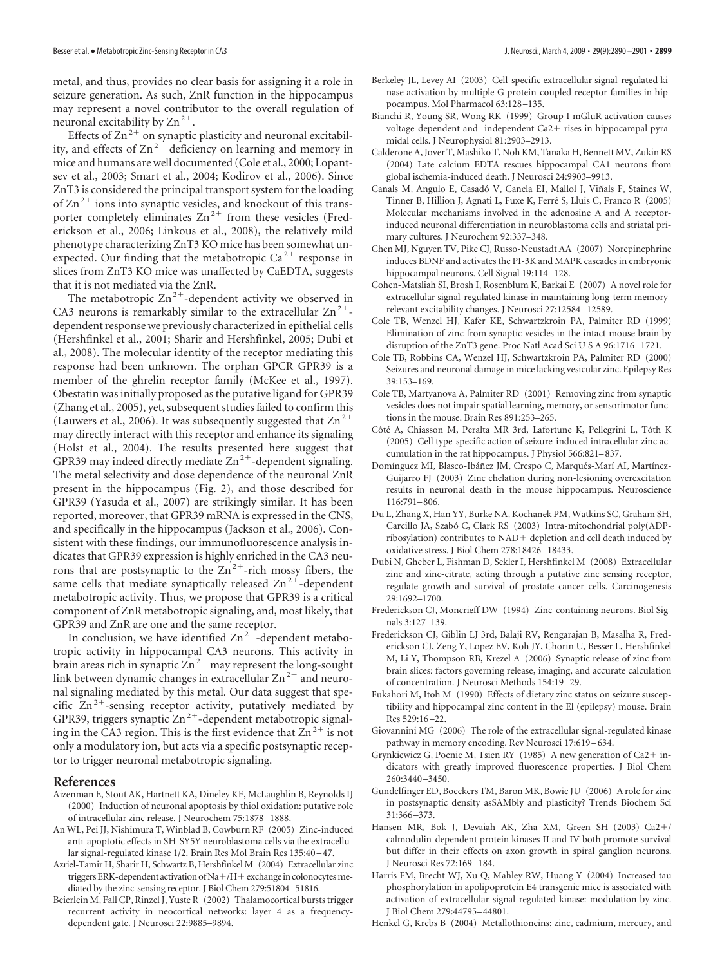metal, and thus, provides no clear basis for assigning it a role in seizure generation. As such, ZnR function in the hippocampus may represent a novel contributor to the overall regulation of neuronal excitability by  $\text{Zn}^2$ <sup>+</sup>.

Effects of  $\text{Zn}^{2+}$  on synaptic plasticity and neuronal excitability, and effects of  $Zn^{2+}$  deficiency on learning and memory in mice and humans are well documented (Cole et al., 2000; Lopantsev et al., 2003; Smart et al., 2004; Kodirov et al., 2006). Since ZnT3 is considered the principal transport system for the loading of  $\text{Zn}^2$  ions into synaptic vesicles, and knockout of this transporter completely eliminates  $Zn^{2+}$  from these vesicles (Frederickson et al., 2006; Linkous et al., 2008), the relatively mild phenotype characterizing ZnT3 KO mice has been somewhat unexpected. Our finding that the metabotropic  $Ca^{2+}$  response in slices from ZnT3 KO mice was unaffected by CaEDTA, suggests that it is not mediated via the ZnR.

The metabotropic  $\text{Zn}^{2+}$ -dependent activity we observed in CA3 neurons is remarkably similar to the extracellular  $\text{Zn}^{2+}$ dependent response we previously characterized in epithelial cells (Hershfinkel et al., 2001; Sharir and Hershfinkel, 2005; Dubi et al., 2008). The molecular identity of the receptor mediating this response had been unknown. The orphan GPCR GPR39 is a member of the ghrelin receptor family (McKee et al., 1997). Obestatin was initially proposed as the putative ligand for GPR39 (Zhang et al., 2005), yet, subsequent studies failed to confirm this (Lauwers et al., 2006). It was subsequently suggested that  $\text{Zn}^2$ <sup>+</sup> may directly interact with this receptor and enhance its signaling (Holst et al., 2004). The results presented here suggest that GPR39 may indeed directly mediate  $Zn^{2+}$ -dependent signaling. The metal selectivity and dose dependence of the neuronal ZnR present in the hippocampus (Fig. 2), and those described for GPR39 (Yasuda et al., 2007) are strikingly similar. It has been reported, moreover, that GPR39 mRNA is expressed in the CNS, and specifically in the hippocampus (Jackson et al., 2006). Consistent with these findings, our immunofluorescence analysis indicates that GPR39 expression is highly enriched in the CA3 neurons that are postsynaptic to the  $Zn^{2+}$ -rich mossy fibers, the same cells that mediate synaptically released  $\text{Zn}^{2+}$ -dependent metabotropic activity. Thus, we propose that GPR39 is a critical component of ZnR metabotropic signaling, and, most likely, that GPR39 and ZnR are one and the same receptor.

In conclusion, we have identified  $\text{Zn}^{2+}$ -dependent metabotropic activity in hippocampal CA3 neurons. This activity in brain areas rich in synaptic  $\text{Zn}^{2+}$  may represent the long-sought link between dynamic changes in extracellular  $\text{Zn}^{2+}$  and neuronal signaling mediated by this metal. Our data suggest that specific  $\text{Zn}^2$ <sup>+</sup>-sensing receptor activity, putatively mediated by GPR39, triggers synaptic  $Zn^{2+}$ -dependent metabotropic signaling in the CA3 region. This is the first evidence that  $\text{Zn}^2$  is not only a modulatory ion, but acts via a specific postsynaptic receptor to trigger neuronal metabotropic signaling.

#### **References**

- Aizenman E, Stout AK, Hartnett KA, Dineley KE, McLaughlin B, Reynolds IJ (2000) Induction of neuronal apoptosis by thiol oxidation: putative role of intracellular zinc release. J Neurochem 75:1878 –1888.
- An WL, Pei JJ, Nishimura T, Winblad B, Cowburn RF (2005) Zinc-induced anti-apoptotic effects in SH-SY5Y neuroblastoma cells via the extracellular signal-regulated kinase 1/2. Brain Res Mol Brain Res 135:40 –47.
- Azriel-Tamir H, Sharir H, Schwartz B, Hershfinkel M (2004) Extracellular zinc triggers ERK-dependent activation of  $Na+ / H +$  exchange in colonocytes mediated by the zinc-sensing receptor. J Biol Chem 279:51804 –51816.
- Beierlein M, Fall CP, Rinzel J, Yuste R (2002) Thalamocortical bursts trigger recurrent activity in neocortical networks: layer 4 as a frequencydependent gate. J Neurosci 22:9885–9894.
- Berkeley JL, Levey AI (2003) Cell-specific extracellular signal-regulated kinase activation by multiple G protein-coupled receptor families in hippocampus. Mol Pharmacol 63:128 –135.
- Bianchi R, Young SR, Wong RK (1999) Group I mGluR activation causes voltage-dependent and -independent Ca2+ rises in hippocampal pyramidal cells. J Neurophysiol 81:2903–2913.
- Calderone A, Jover T, Mashiko T, Noh KM, Tanaka H, Bennett MV, Zukin RS (2004) Late calcium EDTA rescues hippocampal CA1 neurons from global ischemia-induced death. J Neurosci 24:9903–9913.
- Canals M, Angulo E, Casadó V, Canela EI, Mallol J, Viñals F, Staines W, Tinner B, Hillion J, Agnati L, Fuxe K, Ferré S, Lluis C, Franco R (2005) Molecular mechanisms involved in the adenosine A and A receptorinduced neuronal differentiation in neuroblastoma cells and striatal primary cultures. J Neurochem 92:337–348.
- Chen MJ, Nguyen TV, Pike CJ, Russo-Neustadt AA (2007) Norepinephrine induces BDNF and activates the PI-3K and MAPK cascades in embryonic hippocampal neurons. Cell Signal 19:114 –128.
- Cohen-Matsliah SI, Brosh I, Rosenblum K, Barkai E (2007) A novel role for extracellular signal-regulated kinase in maintaining long-term memoryrelevant excitability changes. J Neurosci 27:12584 –12589.
- Cole TB, Wenzel HJ, Kafer KE, Schwartzkroin PA, Palmiter RD (1999) Elimination of zinc from synaptic vesicles in the intact mouse brain by disruption of the ZnT3 gene. Proc Natl Acad Sci U S A 96:1716 –1721.
- Cole TB, Robbins CA, Wenzel HJ, Schwartzkroin PA, Palmiter RD (2000) Seizures and neuronal damage in mice lacking vesicular zinc. Epilepsy Res 39:153–169.
- Cole TB, Martyanova A, Palmiter RD (2001) Removing zinc from synaptic vesicles does not impair spatial learning, memory, or sensorimotor functions in the mouse. Brain Res 891:253–265.
- Côté A, Chiasson M, Peralta MR 3rd, Lafortune K, Pellegrini L, Tóth K (2005) Cell type-specific action of seizure-induced intracellular zinc accumulation in the rat hippocampus. J Physiol 566:821–837.
- Domínguez MI, Blasco-Ibáñez JM, Crespo C, Marqués-Marí AI, Martínez-Guijarro FJ (2003) Zinc chelation during non-lesioning overexcitation results in neuronal death in the mouse hippocampus. Neuroscience 116:791–806.
- Du L, Zhang X, Han YY, Burke NA, Kochanek PM, Watkins SC, Graham SH, Carcillo JA, Szabó C, Clark RS (2003) Intra-mitochondrial poly(ADPribosylation) contributes to  $NAD +$  depletion and cell death induced by oxidative stress. J Biol Chem 278:18426 –18433.
- Dubi N, Gheber L, Fishman D, Sekler I, Hershfinkel M (2008) Extracellular zinc and zinc-citrate, acting through a putative zinc sensing receptor, regulate growth and survival of prostate cancer cells. Carcinogenesis 29:1692–1700.
- Frederickson CJ, Moncrieff DW (1994) Zinc-containing neurons. Biol Signals 3:127–139.
- Frederickson CJ, Giblin LJ 3rd, Balaji RV, Rengarajan B, Masalha R, Frederickson CJ, Zeng Y, Lopez EV, Koh JY, Chorin U, Besser L, Hershfinkel M, Li Y, Thompson RB, Krezel A (2006) Synaptic release of zinc from brain slices: factors governing release, imaging, and accurate calculation of concentration. J Neurosci Methods 154:19 –29.
- Fukahori M, Itoh M (1990) Effects of dietary zinc status on seizure susceptibility and hippocampal zinc content in the El (epilepsy) mouse. Brain Res 529:16 –22.
- Giovannini MG (2006) The role of the extracellular signal-regulated kinase pathway in memory encoding. Rev Neurosci 17:619 –634.
- Grynkiewicz G, Poenie M, Tsien RY (1985) A new generation of Ca2+ indicators with greatly improved fluorescence properties. J Biol Chem 260:3440 –3450.
- Gundelfinger ED, Boeckers TM, Baron MK, Bowie JU (2006) A role for zinc in postsynaptic density asSAMbly and plasticity? Trends Biochem Sci 31:366 –373.
- Hansen MR, Bok J, Devaiah AK, Zha XM, Green SH (2003) Ca2+/ calmodulin-dependent protein kinases II and IV both promote survival but differ in their effects on axon growth in spiral ganglion neurons. J Neurosci Res 72:169 –184.
- Harris FM, Brecht WJ, Xu Q, Mahley RW, Huang Y (2004) Increased tau phosphorylation in apolipoprotein E4 transgenic mice is associated with activation of extracellular signal-regulated kinase: modulation by zinc. J Biol Chem 279:44795–44801.
- Henkel G, Krebs B (2004) Metallothioneins: zinc, cadmium, mercury, and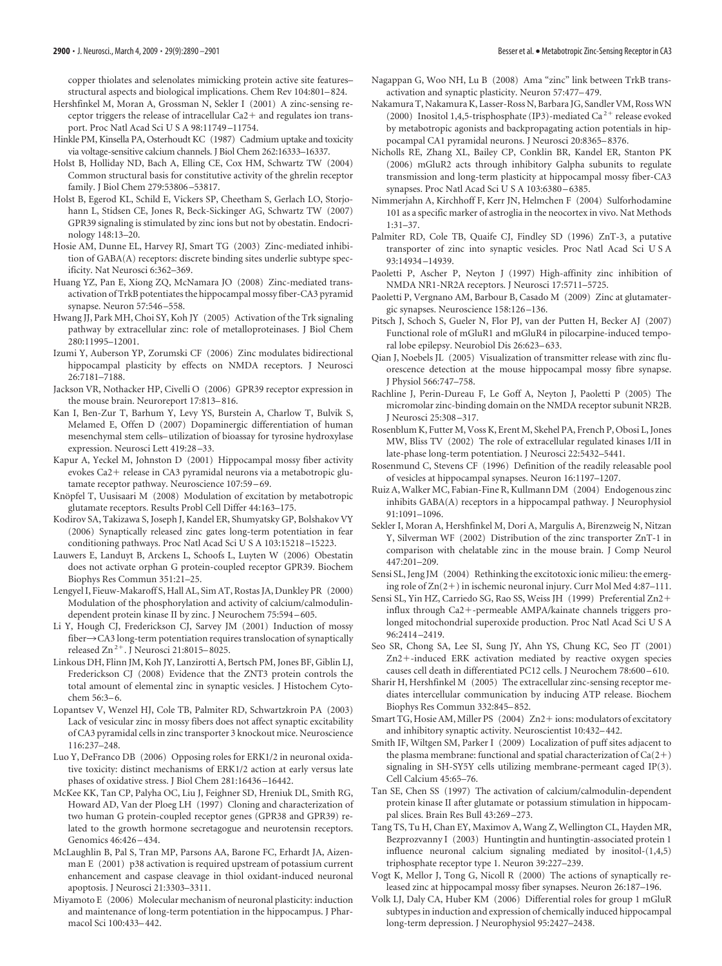copper thiolates and selenolates mimicking protein active site features– structural aspects and biological implications. Chem Rev 104:801–824.

- Hershfinkel M, Moran A, Grossman N, Sekler I (2001) A zinc-sensing receptor triggers the release of intracellular  $Ca2+$  and regulates ion transport. Proc Natl Acad Sci U S A 98:11749 –11754.
- Hinkle PM, Kinsella PA, Osterhoudt KC (1987) Cadmium uptake and toxicity via voltage-sensitive calcium channels. J Biol Chem 262:16333–16337.
- Holst B, Holliday ND, Bach A, Elling CE, Cox HM, Schwartz TW (2004) Common structural basis for constitutive activity of the ghrelin receptor family. J Biol Chem 279:53806 –53817.
- Holst B, Egerod KL, Schild E, Vickers SP, Cheetham S, Gerlach LO, Storjohann L, Stidsen CE, Jones R, Beck-Sickinger AG, Schwartz TW (2007) GPR39 signaling is stimulated by zinc ions but not by obestatin. Endocrinology 148:13–20.
- Hosie AM, Dunne EL, Harvey RJ, Smart TG (2003) Zinc-mediated inhibition of GABA(A) receptors: discrete binding sites underlie subtype specificity. Nat Neurosci 6:362–369.
- Huang YZ, Pan E, Xiong ZQ, McNamara JO (2008) Zinc-mediated transactivation of TrkB potentiates the hippocampal mossy fiber-CA3 pyramid synapse. Neuron 57:546 –558.
- Hwang JJ, Park MH, Choi SY, Koh JY (2005) Activation of the Trk signaling pathway by extracellular zinc: role of metalloproteinases. J Biol Chem 280:11995–12001.
- Izumi Y, Auberson YP, Zorumski CF (2006) Zinc modulates bidirectional hippocampal plasticity by effects on NMDA receptors. J Neurosci 26:7181–7188.
- Jackson VR, Nothacker HP, Civelli O (2006) GPR39 receptor expression in the mouse brain. Neuroreport 17:813–816.
- Kan I, Ben-Zur T, Barhum Y, Levy YS, Burstein A, Charlow T, Bulvik S, Melamed E, Offen D (2007) Dopaminergic differentiation of human mesenchymal stem cells– utilization of bioassay for tyrosine hydroxylase expression. Neurosci Lett 419:28 –33.
- Kapur A, Yeckel M, Johnston D (2001) Hippocampal mossy fiber activity evokes Ca2+ release in CA3 pyramidal neurons via a metabotropic glutamate receptor pathway. Neuroscience 107:59 –69.
- Knöpfel T, Uusisaari M (2008) Modulation of excitation by metabotropic glutamate receptors. Results Probl Cell Differ 44:163–175.
- Kodirov SA, Takizawa S, Joseph J, Kandel ER, Shumyatsky GP, Bolshakov VY (2006) Synaptically released zinc gates long-term potentiation in fear conditioning pathways. Proc Natl Acad Sci U S A 103:15218 –15223.
- Lauwers E, Landuyt B, Arckens L, Schoofs L, Luyten W (2006) Obestatin does not activate orphan G protein-coupled receptor GPR39. Biochem Biophys Res Commun 351:21–25.
- Lengyel I, Fieuw-Makaroff S, Hall AL, Sim AT, Rostas JA, Dunkley PR (2000) Modulation of the phosphorylation and activity of calcium/calmodulindependent protein kinase II by zinc. J Neurochem 75:594 –605.
- Li Y, Hough CJ, Frederickson CJ, Sarvey JM (2001) Induction of mossy fiber->CA3 long-term potentiation requires translocation of synaptically released  $\text{Zn}^2$ <sup>+</sup>. J Neurosci 21:8015–8025.
- Linkous DH, Flinn JM, Koh JY, Lanzirotti A, Bertsch PM, Jones BF, Giblin LJ, Frederickson CJ (2008) Evidence that the ZNT3 protein controls the total amount of elemental zinc in synaptic vesicles. J Histochem Cytochem 56:3–6.
- Lopantsev V, Wenzel HJ, Cole TB, Palmiter RD, Schwartzkroin PA (2003) Lack of vesicular zinc in mossy fibers does not affect synaptic excitability of CA3 pyramidal cells in zinc transporter 3 knockout mice. Neuroscience 116:237–248.
- Luo Y, DeFranco DB (2006) Opposing roles for ERK1/2 in neuronal oxidative toxicity: distinct mechanisms of ERK1/2 action at early versus late phases of oxidative stress. J Biol Chem 281:16436 –16442.
- McKee KK, Tan CP, Palyha OC, Liu J, Feighner SD, Hreniuk DL, Smith RG, Howard AD, Van der Ploeg LH (1997) Cloning and characterization of two human G protein-coupled receptor genes (GPR38 and GPR39) related to the growth hormone secretagogue and neurotensin receptors. Genomics 46:426 –434.
- McLaughlin B, Pal S, Tran MP, Parsons AA, Barone FC, Erhardt JA, Aizenman E (2001) p38 activation is required upstream of potassium current enhancement and caspase cleavage in thiol oxidant-induced neuronal apoptosis. J Neurosci 21:3303–3311.
- Miyamoto E (2006) Molecular mechanism of neuronal plasticity: induction and maintenance of long-term potentiation in the hippocampus. J Pharmacol Sci 100:433–442.
- Nagappan G, Woo NH, Lu B (2008) Ama "zinc" link between TrkB transactivation and synaptic plasticity. Neuron 57:477–479.
- Nakamura T, Nakamura K, Lasser-Ross N, Barbara JG, Sandler VM, RossWN (2000) Inositol 1,4,5-trisphosphate (IP3)-mediated Ca<sup>2+</sup> release evoked by metabotropic agonists and backpropagating action potentials in hippocampal CA1 pyramidal neurons. J Neurosci 20:8365–8376.
- Nicholls RE, Zhang XL, Bailey CP, Conklin BR, Kandel ER, Stanton PK (2006) mGluR2 acts through inhibitory Galpha subunits to regulate transmission and long-term plasticity at hippocampal mossy fiber-CA3 synapses. Proc Natl Acad Sci U S A 103:6380-6385.
- Nimmerjahn A, Kirchhoff F, Kerr JN, Helmchen F (2004) Sulforhodamine 101 as a specific marker of astroglia in the neocortex in vivo. Nat Methods 1:31–37.
- Palmiter RD, Cole TB, Quaife CJ, Findley SD (1996) ZnT-3, a putative transporter of zinc into synaptic vesicles. Proc Natl Acad Sci U S A 93:14934 –14939.
- Paoletti P, Ascher P, Neyton J (1997) High-affinity zinc inhibition of NMDA NR1-NR2A receptors. J Neurosci 17:5711–5725.
- Paoletti P, Vergnano AM, Barbour B, Casado M (2009) Zinc at glutamatergic synapses. Neuroscience 158:126 –136.
- Pitsch J, Schoch S, Gueler N, Flor PJ, van der Putten H, Becker AJ (2007) Functional role of mGluR1 and mGluR4 in pilocarpine-induced temporal lobe epilepsy. Neurobiol Dis 26:623–633.
- Qian J, Noebels JL (2005) Visualization of transmitter release with zinc fluorescence detection at the mouse hippocampal mossy fibre synapse. J Physiol 566:747–758.
- Rachline J, Perin-Dureau F, Le Goff A, Neyton J, Paoletti P (2005) The micromolar zinc-binding domain on the NMDA receptor subunit NR2B. J Neurosci 25:308 –317.
- Rosenblum K, Futter M, Voss K, Erent M, Skehel PA, French P, Obosi L, Jones MW, Bliss TV (2002) The role of extracellular regulated kinases I/II in late-phase long-term potentiation. J Neurosci 22:5432–5441.
- Rosenmund C, Stevens CF (1996) Definition of the readily releasable pool of vesicles at hippocampal synapses. Neuron 16:1197–1207.
- Ruiz A, Walker MC, Fabian-Fine R, Kullmann DM (2004) Endogenous zinc inhibits GABA(A) receptors in a hippocampal pathway. J Neurophysiol 91:1091–1096.
- Sekler I, Moran A, Hershfinkel M, Dori A, Margulis A, Birenzweig N, Nitzan Y, Silverman WF (2002) Distribution of the zinc transporter ZnT-1 in comparison with chelatable zinc in the mouse brain. J Comp Neurol 447:201–209.
- Sensi SL, Jeng JM (2004) Rethinking the excitotoxic ionic milieu: the emerging role of  $Zn(2+)$  in ischemic neuronal injury. Curr Mol Med 4:87–111.
- Sensi SL, Yin HZ, Carriedo SG, Rao SS, Weiss JH (1999) Preferential Zn2 influx through Ca2+-permeable AMPA/kainate channels triggers prolonged mitochondrial superoxide production. Proc Natl Acad Sci U S A 96:2414 –2419.
- Seo SR, Chong SA, Lee SI, Sung JY, Ahn YS, Chung KC, Seo JT (2001) Zn2-induced ERK activation mediated by reactive oxygen species causes cell death in differentiated PC12 cells. J Neurochem 78:600 –610.
- Sharir H, Hershfinkel M (2005) The extracellular zinc-sensing receptor mediates intercellular communication by inducing ATP release. Biochem Biophys Res Commun 332:845–852.
- Smart TG, Hosie AM, Miller PS (2004) Zn2+ions: modulators of excitatory and inhibitory synaptic activity. Neuroscientist 10:432–442.
- Smith IF, Wiltgen SM, Parker I (2009) Localization of puff sites adjacent to the plasma membrane: functional and spatial characterization of  $Ca(2+)$ signaling in SH-SY5Y cells utilizing membrane-permeant caged IP(3). Cell Calcium 45:65–76.
- Tan SE, Chen SS (1997) The activation of calcium/calmodulin-dependent protein kinase II after glutamate or potassium stimulation in hippocampal slices. Brain Res Bull 43:269 –273.
- Tang TS, Tu H, Chan EY, Maximov A, Wang Z, Wellington CL, Hayden MR, Bezprozvanny I (2003) Huntingtin and huntingtin-associated protein 1 influence neuronal calcium signaling mediated by inositol-(1,4,5) triphosphate receptor type 1. Neuron 39:227–239.
- Vogt K, Mellor J, Tong G, Nicoll R (2000) The actions of synaptically released zinc at hippocampal mossy fiber synapses. Neuron 26:187–196.
- Volk LJ, Daly CA, Huber KM (2006) Differential roles for group 1 mGluR subtypes in induction and expression of chemically induced hippocampal long-term depression. J Neurophysiol 95:2427–2438.